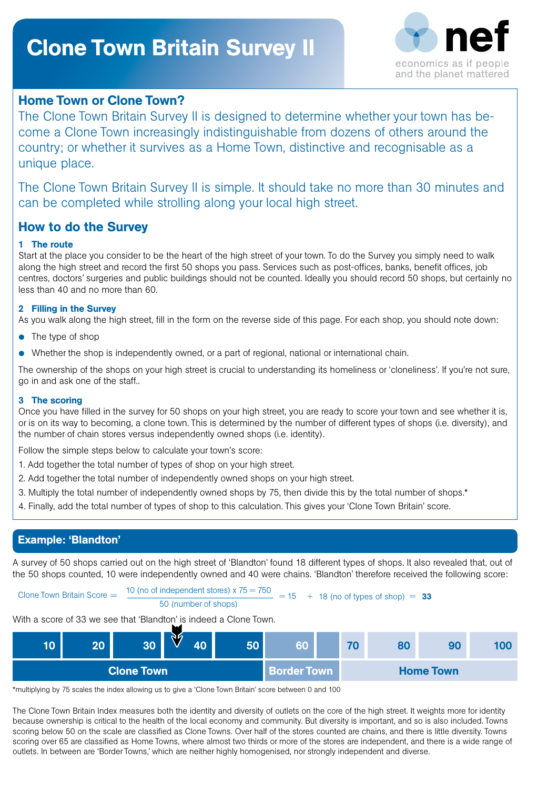# Clone Town Britain Survey II



### Home Town or Clone Town?

The Clone Town Britain Survey II is designed to determine whether your town has become a Clone Town increasingly indistinguishable from dozens of others around the country; or whether it survives as a Home Town, distinctive and recognisable as a unique place.

The Clone Town Britain Survey II is simple. It should take no more than 30 minutes and can be completed while strolling along your local high street.

## How to do the Survey

#### 1 The route

Start at the place you consider to be the heart of the high street of your town. To do the Survey you simply need to walk along the high street and record the first 50 shops you pass. Services such as post-offices, banks, benefit offices, job centres, doctors' surgeries and public buildings should not be counted. Ideally you should record 50 shops, but certainly no less than 40 and no more than 60.

#### 2 Filling in the Survey

As you walk along the high street, fill in the form on the reverse side of this page. For each shop, you should note down:

- The type of shop
- Whether the shop is independently owned, or a part of regional, national or international chain.

The ownership of the shops on your high street is crucial to understanding its homeliness or 'cloneliness'. If you're not sure, go in and ask one of the staff..

#### 3 The scoring

Once you have filled in the survey for 50 shops on your high street, you are ready to score your town and see whether it is, or is on its way to becoming, a clone town. This is determined by the number of different types of shops (i.e. diversity), and the number of chain stores versus independently owned shops (i.e. identity).

Follow the simple steps below to calculate your town's score:

- 1. Add together the total number of types of shop on your high street.
- 2. Add together the total number of independently owned shops on your high street.
- 3. Multiply the total number of independently owned shops by 75, then divide this by the total number of shops.\*
- 4. Finally, add the total number of types of shop to this calculation. This gives your 'Clone Town Britain' score.

### Example: 'Blandton'

A survey of 50 shops carried out on the high street of 'Blandton' found 18 different types of shops. It also revealed that, out of the 50 shops counted, 10 were independently owned and 40 were chains. 'Blandton' therefore received the following score:

Clone Town Britain Score = $=$   $\frac{10 \text{ (no of independent stores) } \times 75 = 750}{50 \text{ (number of shops)}}$  = 15 + 18 (no of types of shop) = 33

With a score of 33 we see that 'Blandton' is indeed a Clone Town.



\*multiplying by 75 scales the index allowing us to give a 'Clone Town Britain' score between 0 and 100

The Clone Town Britain Index measures both the identity and diversity of outlets on the core of the high street. It weights more for identity because ownership is critical to the health of the local economy and community. But diversity is important, and so is also included. Towns scoring below 50 on the scale are classified as Clone Towns. Over half of the stores counted are chains, and there is little diversity. Towns scoring over 65 are classified as Home Towns, where almost two thirds or more of the stores are independent, and there is a wide range of outlets. In between are 'Border Towns,' which are neither highly homogenised, nor strongly independent and diverse.